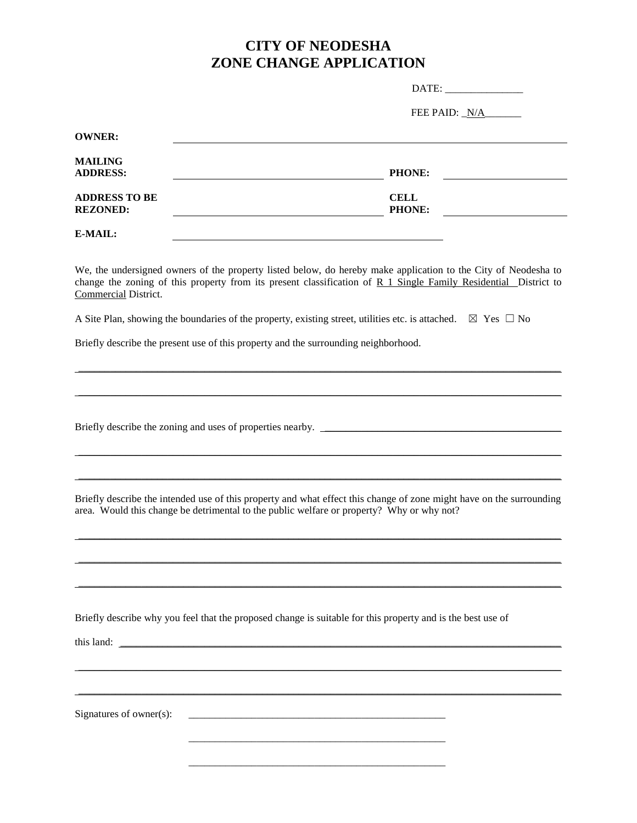## **CITY OF NEODESHA ZONE CHANGE APPLICATION**

| DATE: |  |
|-------|--|
|       |  |
|       |  |
|       |  |
|       |  |
|       |  |
|       |  |
|       |  |
|       |  |
|       |  |
|       |  |
|       |  |

FEE PAID:  $N/A$ 

| <b>OWNER:</b>        |               |  |
|----------------------|---------------|--|
| <b>MAILING</b>       |               |  |
| <b>ADDRESS:</b>      | <b>PHONE:</b> |  |
| <b>ADDRESS TO BE</b> | <b>CELL</b>   |  |
| <b>REZONED:</b>      | <b>PHONE:</b> |  |
| E-MAIL:              |               |  |

We, the undersigned owners of the property listed below, do hereby make application to the City of Neodesha to change the zoning of this property from its present classification of R 1 Single Family Residential District to Commercial District.

\_\_\_\_\_\_\_\_\_\_\_\_\_\_\_\_\_\_\_\_\_\_\_\_\_\_\_\_\_\_\_\_\_\_\_\_\_\_\_\_\_\_\_\_\_\_\_\_\_\_\_\_\_\_\_\_\_\_\_\_\_\_\_\_\_\_\_\_\_\_\_\_\_\_\_\_\_\_\_\_\_\_\_\_\_\_\_\_\_\_\_\_

 $\mathcal{L}_\mathcal{L} = \mathcal{L}_\mathcal{L} = \mathcal{L}_\mathcal{L} = \mathcal{L}_\mathcal{L} = \mathcal{L}_\mathcal{L} = \mathcal{L}_\mathcal{L} = \mathcal{L}_\mathcal{L} = \mathcal{L}_\mathcal{L} = \mathcal{L}_\mathcal{L} = \mathcal{L}_\mathcal{L} = \mathcal{L}_\mathcal{L} = \mathcal{L}_\mathcal{L} = \mathcal{L}_\mathcal{L} = \mathcal{L}_\mathcal{L} = \mathcal{L}_\mathcal{L} = \mathcal{L}_\mathcal{L} = \mathcal{L}_\mathcal{L}$ 

A Site Plan, showing the boundaries of the property, existing street, utilities etc. is attached.  $\boxtimes$  Yes  $\Box$  No

Briefly describe the present use of this property and the surrounding neighborhood.

Briefly describe the zoning and uses of properties nearby. \_\_\_\_\_\_\_\_\_\_\_\_\_\_\_\_\_\_\_\_\_\_\_\_\_\_\_\_\_\_\_\_\_\_\_\_\_\_\_\_\_\_\_\_\_

Briefly describe the intended use of this property and what effect this change of zone might have on the surrounding area. Would this change be detrimental to the public welfare or property? Why or why not?

 $\mathcal{L}_\mathcal{L} = \mathcal{L}_\mathcal{L} = \mathcal{L}_\mathcal{L} = \mathcal{L}_\mathcal{L} = \mathcal{L}_\mathcal{L} = \mathcal{L}_\mathcal{L} = \mathcal{L}_\mathcal{L} = \mathcal{L}_\mathcal{L} = \mathcal{L}_\mathcal{L} = \mathcal{L}_\mathcal{L} = \mathcal{L}_\mathcal{L} = \mathcal{L}_\mathcal{L} = \mathcal{L}_\mathcal{L} = \mathcal{L}_\mathcal{L} = \mathcal{L}_\mathcal{L} = \mathcal{L}_\mathcal{L} = \mathcal{L}_\mathcal{L}$ 

 $\mathcal{L}_\mathcal{L} = \mathcal{L}_\mathcal{L} = \mathcal{L}_\mathcal{L} = \mathcal{L}_\mathcal{L} = \mathcal{L}_\mathcal{L} = \mathcal{L}_\mathcal{L} = \mathcal{L}_\mathcal{L} = \mathcal{L}_\mathcal{L} = \mathcal{L}_\mathcal{L} = \mathcal{L}_\mathcal{L} = \mathcal{L}_\mathcal{L} = \mathcal{L}_\mathcal{L} = \mathcal{L}_\mathcal{L} = \mathcal{L}_\mathcal{L} = \mathcal{L}_\mathcal{L} = \mathcal{L}_\mathcal{L} = \mathcal{L}_\mathcal{L}$ 

\_\_\_\_\_\_\_\_\_\_\_\_\_\_\_\_\_\_\_\_\_\_\_\_\_\_\_\_\_\_\_\_\_\_\_\_\_\_\_\_\_\_\_\_\_\_\_\_\_\_\_\_\_\_\_\_\_\_\_\_\_\_\_\_\_\_\_\_\_\_\_\_\_\_\_\_\_\_\_\_\_\_\_\_\_\_\_\_\_\_\_\_

\_\_\_\_\_\_\_\_\_\_\_\_\_\_\_\_\_\_\_\_\_\_\_\_\_\_\_\_\_\_\_\_\_\_\_\_\_\_\_\_\_\_\_\_\_\_\_\_\_\_\_\_\_\_\_\_\_\_\_\_\_\_\_\_\_\_\_\_\_\_\_\_\_\_\_\_\_\_\_\_\_\_\_\_\_\_\_\_\_\_\_\_

\_\_\_\_\_\_\_\_\_\_\_\_\_\_\_\_\_\_\_\_\_\_\_\_\_\_\_\_\_\_\_\_\_\_\_\_\_\_\_\_\_\_\_\_\_\_\_\_\_\_\_\_\_\_\_\_\_\_\_\_\_\_\_\_\_\_\_\_\_\_\_\_\_\_\_\_\_\_\_\_\_\_\_\_\_\_\_\_\_\_\_\_

\_\_\_\_\_\_\_\_\_\_\_\_\_\_\_\_\_\_\_\_\_\_\_\_\_\_\_\_\_\_\_\_\_\_\_\_\_\_\_\_\_\_\_\_\_\_\_\_\_

\_\_\_\_\_\_\_\_\_\_\_\_\_\_\_\_\_\_\_\_\_\_\_\_\_\_\_\_\_\_\_\_\_\_\_\_\_\_\_\_\_\_\_\_\_\_\_\_\_

 $\mathcal{L}_\mathcal{L} = \{ \mathcal{L}_\mathcal{L} = \{ \mathcal{L}_\mathcal{L} = \{ \mathcal{L}_\mathcal{L} = \{ \mathcal{L}_\mathcal{L} = \{ \mathcal{L}_\mathcal{L} = \{ \mathcal{L}_\mathcal{L} = \{ \mathcal{L}_\mathcal{L} = \{ \mathcal{L}_\mathcal{L} = \{ \mathcal{L}_\mathcal{L} = \{ \mathcal{L}_\mathcal{L} = \{ \mathcal{L}_\mathcal{L} = \{ \mathcal{L}_\mathcal{L} = \{ \mathcal{L}_\mathcal{L} = \{ \mathcal{L}_\mathcal{$ 

\_\_\_\_\_\_\_\_\_\_\_\_\_\_\_\_\_\_\_\_\_\_\_\_\_\_\_\_\_\_\_\_\_\_\_\_\_\_\_\_\_\_\_\_\_\_\_\_\_\_\_\_\_\_\_\_\_\_\_\_\_\_\_\_\_\_\_\_\_\_\_\_\_\_\_\_\_\_\_\_\_\_\_\_\_\_\_\_\_\_\_\_

Briefly describe why you feel that the proposed change is suitable for this property and is the best use of

this land:

Signatures of owner $(s)$ :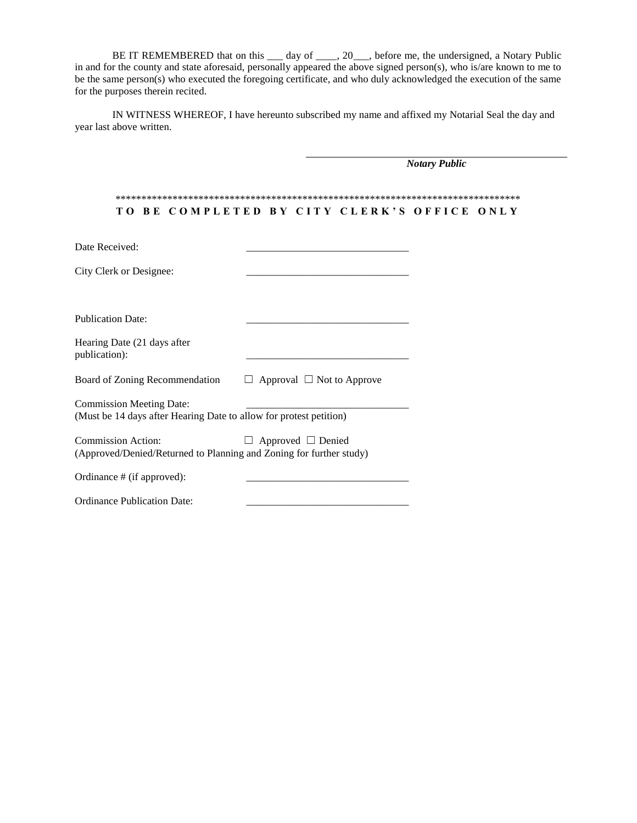BE IT REMEMBERED that on this \_\_\_ day of \_\_\_\_, 20\_\_\_, before me, the undersigned, a Notary Public in and for the county and state aforesaid, personally appeared the above signed person(s), who is/are known to me to be the same person(s) who executed the foregoing certificate, and who duly acknowledged the execution of the same for the purposes therein recited.

IN WITNESS WHEREOF, I have hereunto subscribed my name and affixed my Notarial Seal the day and year last above written.

|                                                                                                       | <b>Notary Public</b>                  |  |  |  |
|-------------------------------------------------------------------------------------------------------|---------------------------------------|--|--|--|
| TO BE COMPLETED BY CITY CLERK'S OFFICE ONLY                                                           |                                       |  |  |  |
| Date Received:                                                                                        |                                       |  |  |  |
| City Clerk or Designee:                                                                               |                                       |  |  |  |
| <b>Publication Date:</b>                                                                              |                                       |  |  |  |
| Hearing Date (21 days after<br>publication):                                                          |                                       |  |  |  |
| Board of Zoning Recommendation                                                                        | $\Box$ Approval $\Box$ Not to Approve |  |  |  |
| <b>Commission Meeting Date:</b><br>(Must be 14 days after Hearing Date to allow for protest petition) |                                       |  |  |  |
| <b>Commission Action:</b><br>(Approved/Denied/Returned to Planning and Zoning for further study)      | $\Box$ Approved $\Box$ Denied         |  |  |  |
| Ordinance # (if approved):                                                                            |                                       |  |  |  |
| <b>Ordinance Publication Date:</b>                                                                    |                                       |  |  |  |